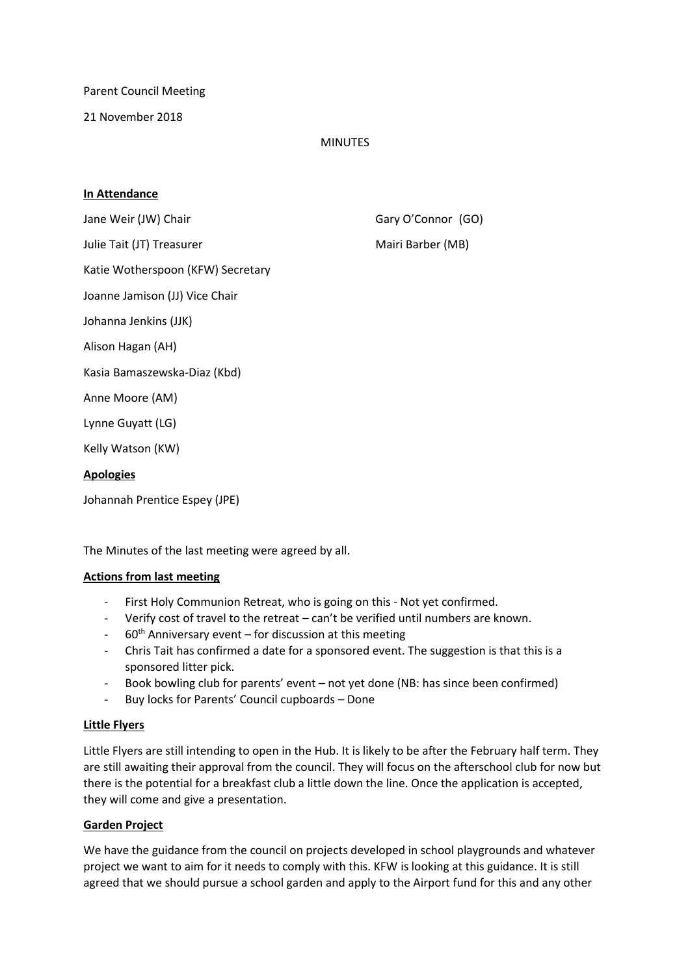Parent Council Meeting

21 November 2018

# MINUTES

## **In Attendance**

Jane Weir (JW) Chair Gary O'Connor (GO)

Julie Tait (JT) Treasurer Mairi Barber (MB)

Katie Wotherspoon (KFW) Secretary

Joanne Jamison (JJ) Vice Chair

Johanna Jenkins (JJK)

Alison Hagan (AH)

Kasia Bamaszewska-Diaz (Kbd)

Anne Moore (AM)

Lynne Guyatt (LG)

Kelly Watson (KW)

# **Apologies**

Johannah Prentice Espey (JPE)

The Minutes of the last meeting were agreed by all.

## **Actions from last meeting**

- First Holy Communion Retreat, who is going on this Not yet confirmed.
- Verify cost of travel to the retreat can't be verified until numbers are known.
- $60<sup>th</sup>$  Anniversary event for discussion at this meeting
- Chris Tait has confirmed a date for a sponsored event. The suggestion is that this is a sponsored litter pick.
- Book bowling club for parents' event not yet done (NB: has since been confirmed)
- Buy locks for Parents' Council cupboards Done

## **Little Flyers**

Little Flyers are still intending to open in the Hub. It is likely to be after the February half term. They are still awaiting their approval from the council. They will focus on the afterschool club for now but there is the potential for a breakfast club a little down the line. Once the application is accepted, they will come and give a presentation.

## **Garden Project**

We have the guidance from the council on projects developed in school playgrounds and whatever project we want to aim for it needs to comply with this. KFW is looking at this guidance. It is still agreed that we should pursue a school garden and apply to the Airport fund for this and any other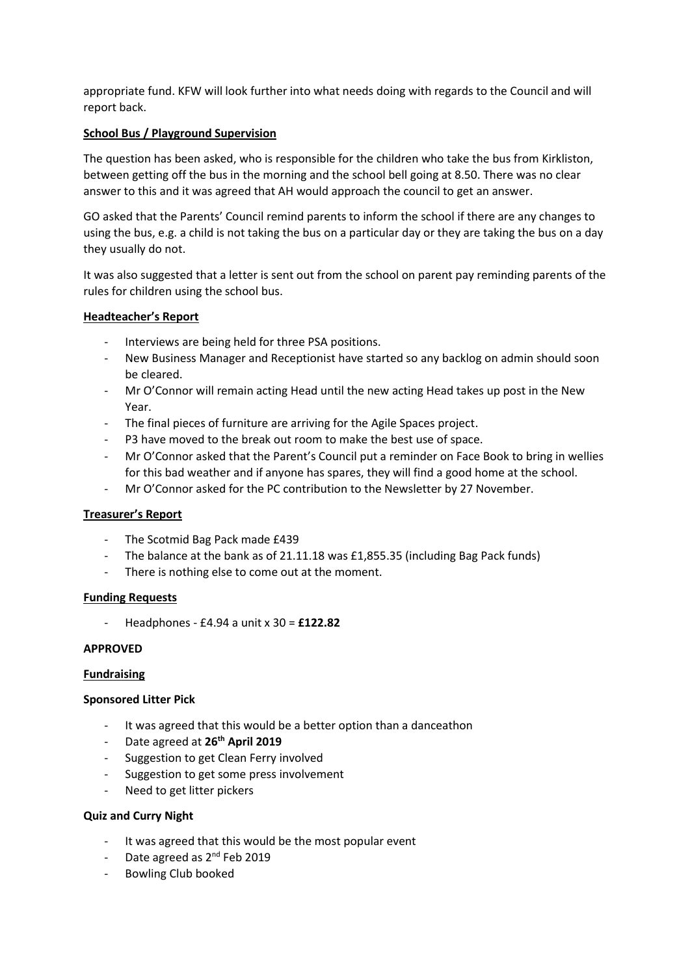appropriate fund. KFW will look further into what needs doing with regards to the Council and will report back.

# **School Bus / Playground Supervision**

The question has been asked, who is responsible for the children who take the bus from Kirkliston, between getting off the bus in the morning and the school bell going at 8.50. There was no clear answer to this and it was agreed that AH would approach the council to get an answer.

GO asked that the Parents' Council remind parents to inform the school if there are any changes to using the bus, e.g. a child is not taking the bus on a particular day or they are taking the bus on a day they usually do not.

It was also suggested that a letter is sent out from the school on parent pay reminding parents of the rules for children using the school bus.

## **Headteacher's Report**

- Interviews are being held for three PSA positions.
- New Business Manager and Receptionist have started so any backlog on admin should soon be cleared.
- Mr O'Connor will remain acting Head until the new acting Head takes up post in the New Year.
- The final pieces of furniture are arriving for the Agile Spaces project.
- P3 have moved to the break out room to make the best use of space.
- Mr O'Connor asked that the Parent's Council put a reminder on Face Book to bring in wellies for this bad weather and if anyone has spares, they will find a good home at the school.
- Mr O'Connor asked for the PC contribution to the Newsletter by 27 November.

## **Treasurer's Report**

- The Scotmid Bag Pack made £439
- The balance at the bank as of 21.11.18 was £1,855.35 (including Bag Pack funds)
- There is nothing else to come out at the moment.

## **Funding Requests**

- Headphones - £4.94 a unit x 30 = **£122.82**

## **APPROVED**

## **Fundraising**

## **Sponsored Litter Pick**

- It was agreed that this would be a better option than a danceathon
- Date agreed at **26th April 2019**
- Suggestion to get Clean Ferry involved
- Suggestion to get some press involvement
- Need to get litter pickers

# **Quiz and Curry Night**

- It was agreed that this would be the most popular event
- Date agreed as 2<sup>nd</sup> Feb 2019
- Bowling Club booked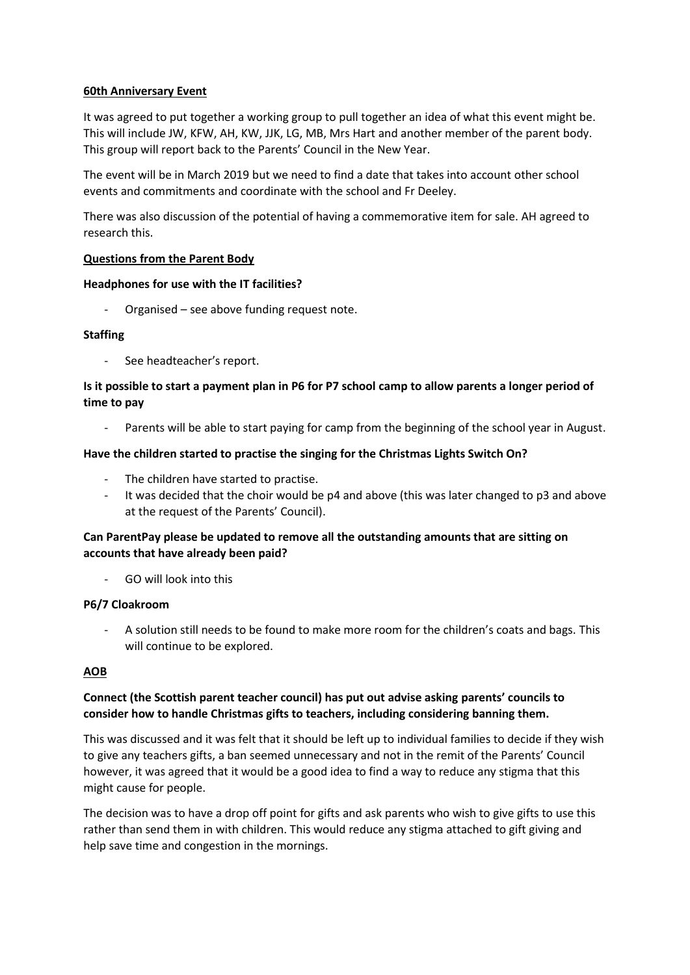# **60th Anniversary Event**

It was agreed to put together a working group to pull together an idea of what this event might be. This will include JW, KFW, AH, KW, JJK, LG, MB, Mrs Hart and another member of the parent body. This group will report back to the Parents' Council in the New Year.

The event will be in March 2019 but we need to find a date that takes into account other school events and commitments and coordinate with the school and Fr Deeley.

There was also discussion of the potential of having a commemorative item for sale. AH agreed to research this.

# **Questions from the Parent Body**

## **Headphones for use with the IT facilities?**

Organised – see above funding request note.

# **Staffing**

See headteacher's report.

# **Is it possible to start a payment plan in P6 for P7 school camp to allow parents a longer period of time to pay**

Parents will be able to start paying for camp from the beginning of the school year in August.

# **Have the children started to practise the singing for the Christmas Lights Switch On?**

- The children have started to practise.
- It was decided that the choir would be  $p4$  and above (this was later changed to  $p3$  and above at the request of the Parents' Council).

# **Can ParentPay please be updated to remove all the outstanding amounts that are sitting on accounts that have already been paid?**

- GO will look into this

## **P6/7 Cloakroom**

- A solution still needs to be found to make more room for the children's coats and bags. This will continue to be explored.

# **AOB**

# **Connect (the Scottish parent teacher council) has put out advise asking parents' councils to consider how to handle Christmas gifts to teachers, including considering banning them.**

This was discussed and it was felt that it should be left up to individual families to decide if they wish to give any teachers gifts, a ban seemed unnecessary and not in the remit of the Parents' Council however, it was agreed that it would be a good idea to find a way to reduce any stigma that this might cause for people.

The decision was to have a drop off point for gifts and ask parents who wish to give gifts to use this rather than send them in with children. This would reduce any stigma attached to gift giving and help save time and congestion in the mornings.